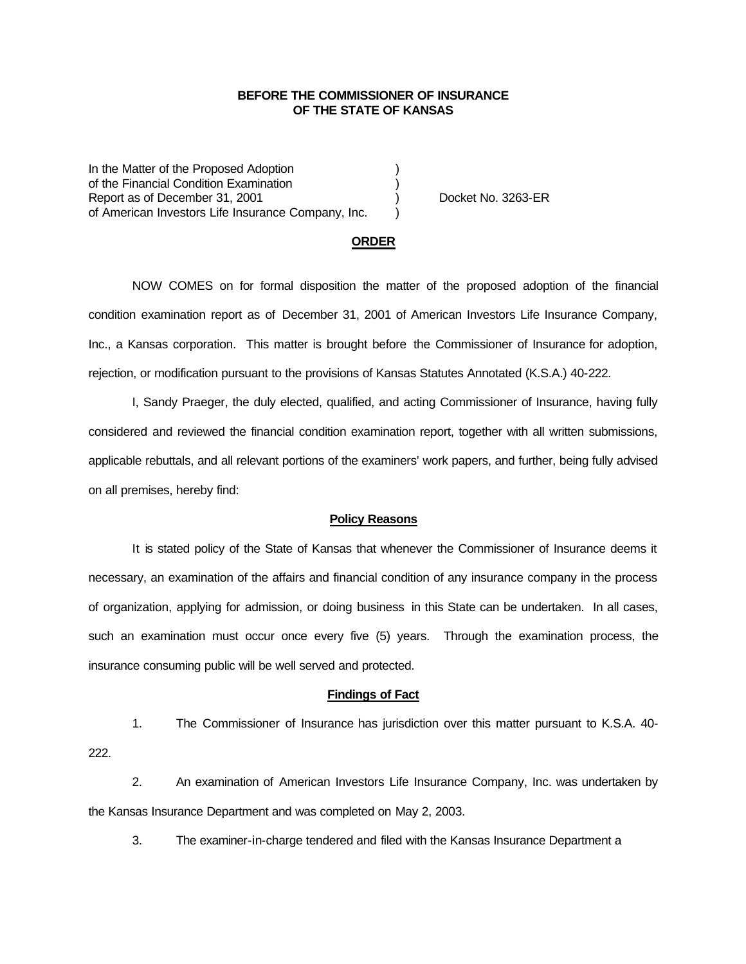## **BEFORE THE COMMISSIONER OF INSURANCE OF THE STATE OF KANSAS**

In the Matter of the Proposed Adoption of the Financial Condition Examination ) Report as of December 31, 2001 (and Separation Control of No. 3263-ER of American Investors Life Insurance Company, Inc.

### **ORDER**

NOW COMES on for formal disposition the matter of the proposed adoption of the financial condition examination report as of December 31, 2001 of American Investors Life Insurance Company, Inc., a Kansas corporation. This matter is brought before the Commissioner of Insurance for adoption, rejection, or modification pursuant to the provisions of Kansas Statutes Annotated (K.S.A.) 40-222.

I, Sandy Praeger, the duly elected, qualified, and acting Commissioner of Insurance, having fully considered and reviewed the financial condition examination report, together with all written submissions, applicable rebuttals, and all relevant portions of the examiners' work papers, and further, being fully advised on all premises, hereby find:

#### **Policy Reasons**

It is stated policy of the State of Kansas that whenever the Commissioner of Insurance deems it necessary, an examination of the affairs and financial condition of any insurance company in the process of organization, applying for admission, or doing business in this State can be undertaken. In all cases, such an examination must occur once every five (5) years. Through the examination process, the insurance consuming public will be well served and protected.

#### **Findings of Fact**

1. The Commissioner of Insurance has jurisdiction over this matter pursuant to K.S.A. 40- 222.

2. An examination of American Investors Life Insurance Company, Inc. was undertaken by the Kansas Insurance Department and was completed on May 2, 2003.

3. The examiner-in-charge tendered and filed with the Kansas Insurance Department a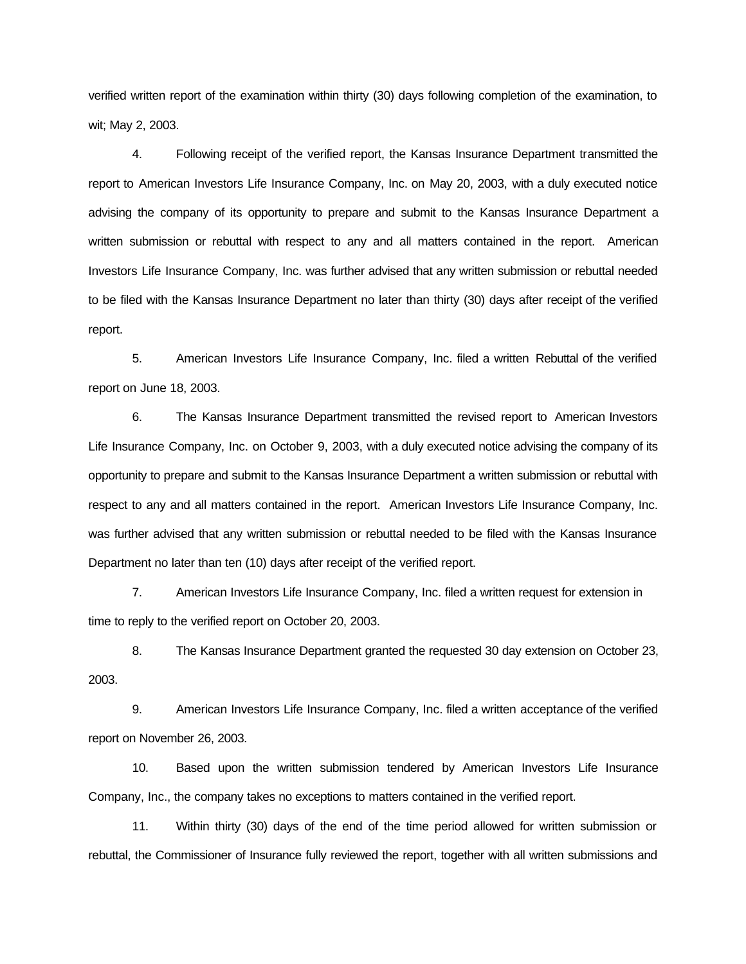verified written report of the examination within thirty (30) days following completion of the examination, to wit; May 2, 2003.

4. Following receipt of the verified report, the Kansas Insurance Department transmitted the report to American Investors Life Insurance Company, Inc. on May 20, 2003, with a duly executed notice advising the company of its opportunity to prepare and submit to the Kansas Insurance Department a written submission or rebuttal with respect to any and all matters contained in the report. American Investors Life Insurance Company, Inc. was further advised that any written submission or rebuttal needed to be filed with the Kansas Insurance Department no later than thirty (30) days after receipt of the verified report.

5. American Investors Life Insurance Company, Inc. filed a written Rebuttal of the verified report on June 18, 2003.

6. The Kansas Insurance Department transmitted the revised report to American Investors Life Insurance Company, Inc. on October 9, 2003, with a duly executed notice advising the company of its opportunity to prepare and submit to the Kansas Insurance Department a written submission or rebuttal with respect to any and all matters contained in the report. American Investors Life Insurance Company, Inc. was further advised that any written submission or rebuttal needed to be filed with the Kansas Insurance Department no later than ten (10) days after receipt of the verified report.

7. American Investors Life Insurance Company, Inc. filed a written request for extension in time to reply to the verified report on October 20, 2003.

8. The Kansas Insurance Department granted the requested 30 day extension on October 23, 2003.

9. American Investors Life Insurance Company, Inc. filed a written acceptance of the verified report on November 26, 2003.

10. Based upon the written submission tendered by American Investors Life Insurance Company, Inc., the company takes no exceptions to matters contained in the verified report.

11. Within thirty (30) days of the end of the time period allowed for written submission or rebuttal, the Commissioner of Insurance fully reviewed the report, together with all written submissions and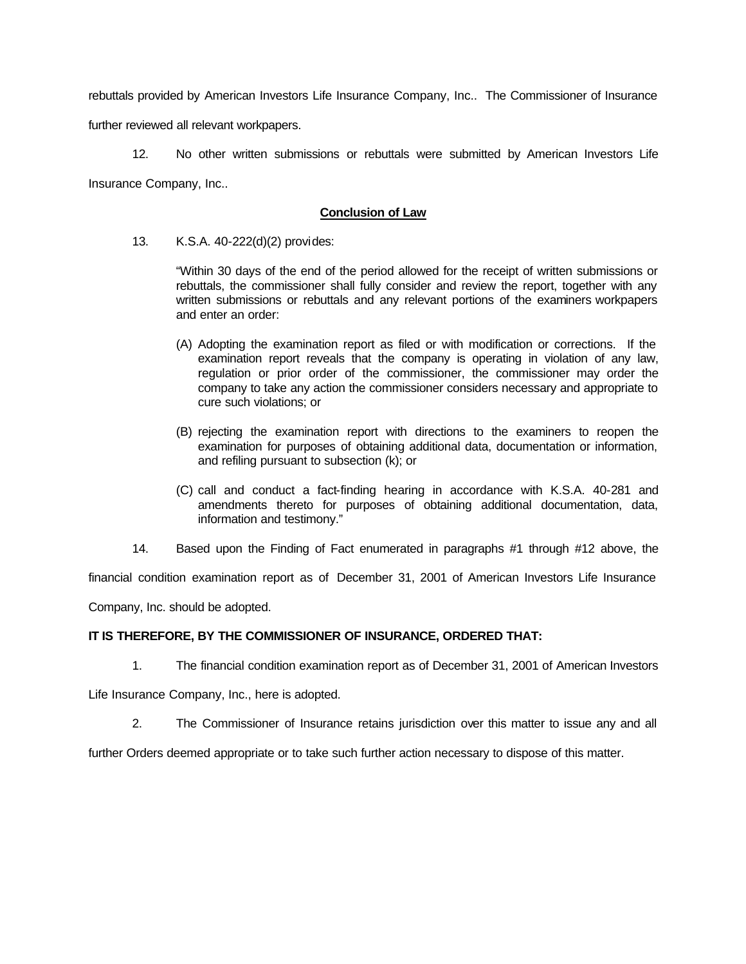rebuttals provided by American Investors Life Insurance Company, Inc.. The Commissioner of Insurance

further reviewed all relevant workpapers.

12. No other written submissions or rebuttals were submitted by American Investors Life Insurance Company, Inc..

## **Conclusion of Law**

13. K.S.A. 40-222(d)(2) provides:

"Within 30 days of the end of the period allowed for the receipt of written submissions or rebuttals, the commissioner shall fully consider and review the report, together with any written submissions or rebuttals and any relevant portions of the examiners workpapers and enter an order:

- (A) Adopting the examination report as filed or with modification or corrections. If the examination report reveals that the company is operating in violation of any law, regulation or prior order of the commissioner, the commissioner may order the company to take any action the commissioner considers necessary and appropriate to cure such violations; or
- (B) rejecting the examination report with directions to the examiners to reopen the examination for purposes of obtaining additional data, documentation or information, and refiling pursuant to subsection (k); or
- (C) call and conduct a fact-finding hearing in accordance with K.S.A. 40-281 and amendments thereto for purposes of obtaining additional documentation, data, information and testimony."
- 14. Based upon the Finding of Fact enumerated in paragraphs #1 through #12 above, the

financial condition examination report as of December 31, 2001 of American Investors Life Insurance

Company, Inc. should be adopted.

# **IT IS THEREFORE, BY THE COMMISSIONER OF INSURANCE, ORDERED THAT:**

1. The financial condition examination report as of December 31, 2001 of American Investors

Life Insurance Company, Inc., here is adopted.

2. The Commissioner of Insurance retains jurisdiction over this matter to issue any and all

further Orders deemed appropriate or to take such further action necessary to dispose of this matter.